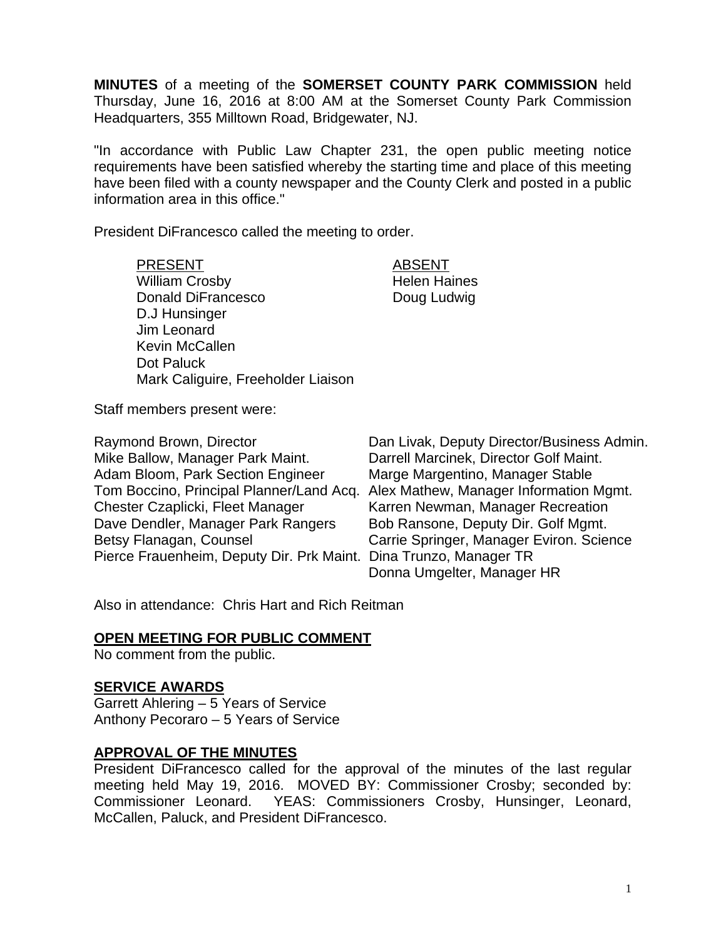**MINUTES** of a meeting of the **SOMERSET COUNTY PARK COMMISSION** held Thursday, June 16, 2016 at 8:00 AM at the Somerset County Park Commission Headquarters, 355 Milltown Road, Bridgewater, NJ.

"In accordance with Public Law Chapter 231, the open public meeting notice requirements have been satisfied whereby the starting time and place of this meeting have been filed with a county newspaper and the County Clerk and posted in a public information area in this office."

President DiFrancesco called the meeting to order.

PRESENT ABSENT William Crosby **Helen** Haines Donald DiFrancesco Doug Ludwig D.J Hunsinger Jim Leonard Kevin McCallen Dot Paluck Mark Caliguire, Freeholder Liaison

Staff members present were:

| Raymond Brown, Director                                           | Dan Livak, Deputy Director/Business Admin.                                      |
|-------------------------------------------------------------------|---------------------------------------------------------------------------------|
| Mike Ballow, Manager Park Maint.                                  | Darrell Marcinek, Director Golf Maint.                                          |
| Adam Bloom, Park Section Engineer                                 | Marge Margentino, Manager Stable                                                |
|                                                                   | Tom Boccino, Principal Planner/Land Acq. Alex Mathew, Manager Information Mgmt. |
| Chester Czaplicki, Fleet Manager                                  | Karren Newman, Manager Recreation                                               |
| Dave Dendler, Manager Park Rangers                                | Bob Ransone, Deputy Dir. Golf Mgmt.                                             |
| Betsy Flanagan, Counsel                                           | Carrie Springer, Manager Eviron. Science                                        |
| Pierce Frauenheim, Deputy Dir. Prk Maint. Dina Trunzo, Manager TR |                                                                                 |
|                                                                   | Donna Umgelter, Manager HR                                                      |

Also in attendance: Chris Hart and Rich Reitman

#### **OPEN MEETING FOR PUBLIC COMMENT**

No comment from the public.

#### **SERVICE AWARDS**

Garrett Ahlering – 5 Years of Service Anthony Pecoraro – 5 Years of Service

#### **APPROVAL OF THE MINUTES**

President DiFrancesco called for the approval of the minutes of the last regular meeting held May 19, 2016. MOVED BY: Commissioner Crosby; seconded by: Commissioner Leonard. YEAS: Commissioners Crosby, Hunsinger, Leonard, McCallen, Paluck, and President DiFrancesco.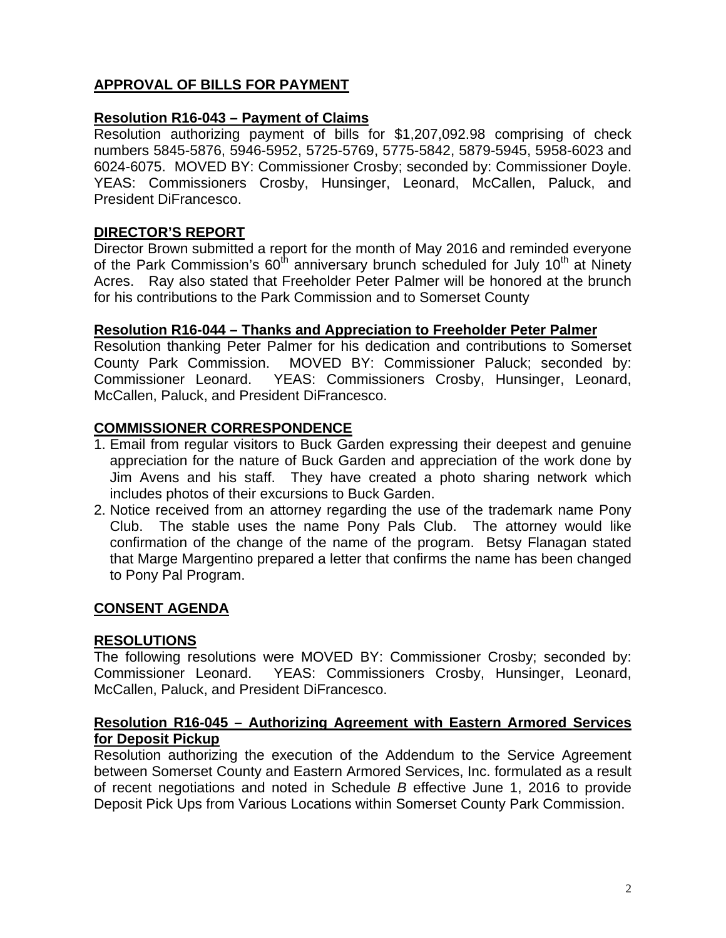# **APPROVAL OF BILLS FOR PAYMENT**

# **Resolution R16-043 – Payment of Claims**

Resolution authorizing payment of bills for \$1,207,092.98 comprising of check numbers 5845-5876, 5946-5952, 5725-5769, 5775-5842, 5879-5945, 5958-6023 and 6024-6075. MOVED BY: Commissioner Crosby; seconded by: Commissioner Doyle. YEAS: Commissioners Crosby, Hunsinger, Leonard, McCallen, Paluck, and President DiFrancesco.

# **DIRECTOR'S REPORT**

Director Brown submitted a report for the month of May 2016 and reminded everyone of the Park Commission's  $60<sup>th</sup>$  anniversary brunch scheduled for July 10<sup>th</sup> at Ninety Acres. Ray also stated that Freeholder Peter Palmer will be honored at the brunch for his contributions to the Park Commission and to Somerset County

#### **Resolution R16-044 – Thanks and Appreciation to Freeholder Peter Palmer**

Resolution thanking Peter Palmer for his dedication and contributions to Somerset County Park Commission. MOVED BY: Commissioner Paluck; seconded by: Commissioner Leonard. YEAS: Commissioners Crosby, Hunsinger, Leonard, McCallen, Paluck, and President DiFrancesco.

# **COMMISSIONER CORRESPONDENCE**

- 1. Email from regular visitors to Buck Garden expressing their deepest and genuine appreciation for the nature of Buck Garden and appreciation of the work done by Jim Avens and his staff. They have created a photo sharing network which includes photos of their excursions to Buck Garden.
- 2. Notice received from an attorney regarding the use of the trademark name Pony Club. The stable uses the name Pony Pals Club. The attorney would like confirmation of the change of the name of the program. Betsy Flanagan stated that Marge Margentino prepared a letter that confirms the name has been changed to Pony Pal Program.

# **CONSENT AGENDA**

# **RESOLUTIONS**

The following resolutions were MOVED BY: Commissioner Crosby; seconded by: Commissioner Leonard. YEAS: Commissioners Crosby, Hunsinger, Leonard, McCallen, Paluck, and President DiFrancesco.

# **Resolution R16-045 – Authorizing Agreement with Eastern Armored Services for Deposit Pickup**

Resolution authorizing the execution of the Addendum to the Service Agreement between Somerset County and Eastern Armored Services, Inc. formulated as a result of recent negotiations and noted in Schedule *B* effective June 1, 2016 to provide Deposit Pick Ups from Various Locations within Somerset County Park Commission.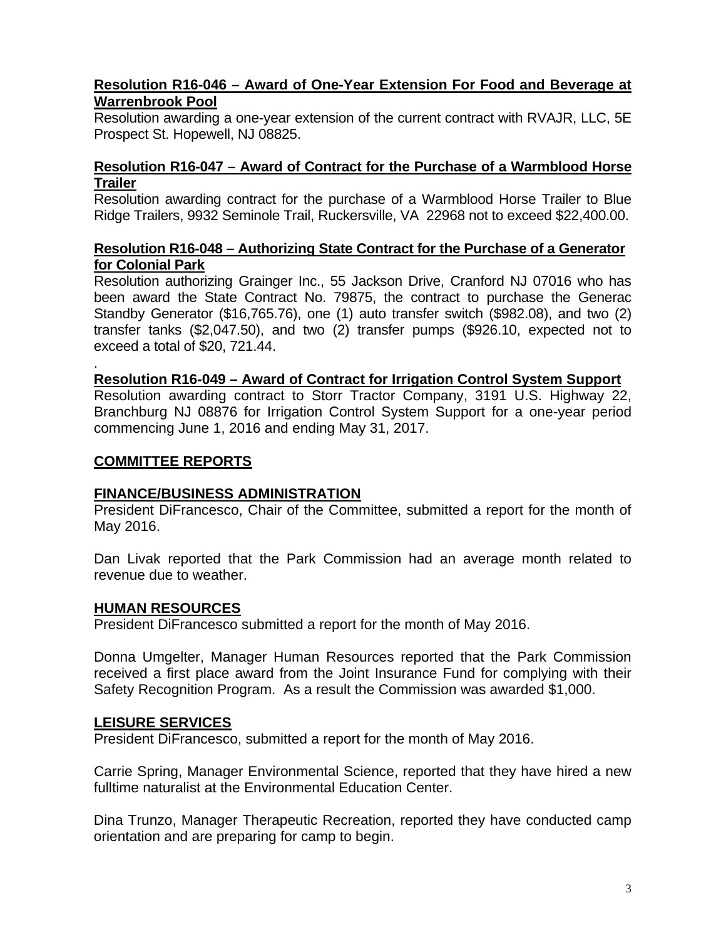# **Resolution R16-046 – Award of One-Year Extension For Food and Beverage at Warrenbrook Pool**

Resolution awarding a one-year extension of the current contract with RVAJR, LLC, 5E Prospect St. Hopewell, NJ 08825.

# **Resolution R16-047 – Award of Contract for the Purchase of a Warmblood Horse Trailer**

Resolution awarding contract for the purchase of a Warmblood Horse Trailer to Blue Ridge Trailers, 9932 Seminole Trail, Ruckersville, VA 22968 not to exceed \$22,400.00.

# **Resolution R16-048 – Authorizing State Contract for the Purchase of a Generator for Colonial Park**

Resolution authorizing Grainger Inc., 55 Jackson Drive, Cranford NJ 07016 who has been award the State Contract No. 79875, the contract to purchase the Generac Standby Generator (\$16,765.76), one (1) auto transfer switch (\$982.08), and two (2) transfer tanks (\$2,047.50), and two (2) transfer pumps (\$926.10, expected not to exceed a total of \$20, 721.44.

#### . **Resolution R16-049 – Award of Contract for Irrigation Control System Support**

Resolution awarding contract to Storr Tractor Company, 3191 U.S. Highway 22, Branchburg NJ 08876 for Irrigation Control System Support for a one-year period commencing June 1, 2016 and ending May 31, 2017.

# **COMMITTEE REPORTS**

# **FINANCE/BUSINESS ADMINISTRATION**

President DiFrancesco, Chair of the Committee, submitted a report for the month of May 2016.

Dan Livak reported that the Park Commission had an average month related to revenue due to weather.

# **HUMAN RESOURCES**

President DiFrancesco submitted a report for the month of May 2016.

Donna Umgelter, Manager Human Resources reported that the Park Commission received a first place award from the Joint Insurance Fund for complying with their Safety Recognition Program. As a result the Commission was awarded \$1,000.

# **LEISURE SERVICES**

President DiFrancesco, submitted a report for the month of May 2016.

Carrie Spring, Manager Environmental Science, reported that they have hired a new fulltime naturalist at the Environmental Education Center.

Dina Trunzo, Manager Therapeutic Recreation, reported they have conducted camp orientation and are preparing for camp to begin.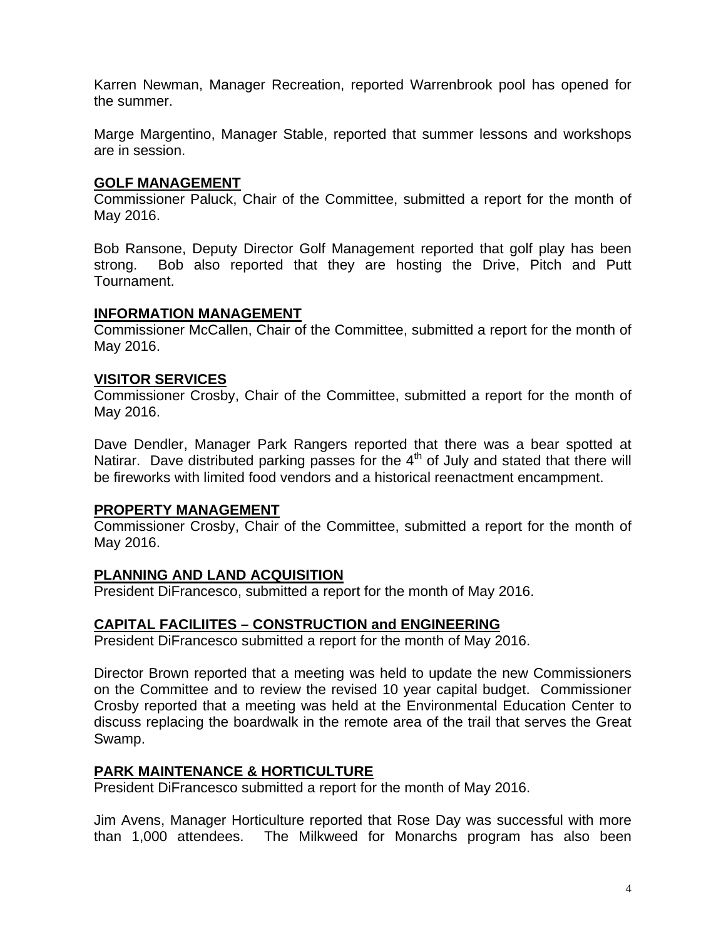Karren Newman, Manager Recreation, reported Warrenbrook pool has opened for the summer.

Marge Margentino, Manager Stable, reported that summer lessons and workshops are in session.

#### **GOLF MANAGEMENT**

Commissioner Paluck, Chair of the Committee, submitted a report for the month of May 2016.

Bob Ransone, Deputy Director Golf Management reported that golf play has been strong. Bob also reported that they are hosting the Drive, Pitch and Putt Tournament.

#### **INFORMATION MANAGEMENT**

Commissioner McCallen, Chair of the Committee, submitted a report for the month of May 2016.

#### **VISITOR SERVICES**

Commissioner Crosby, Chair of the Committee, submitted a report for the month of May 2016.

Dave Dendler, Manager Park Rangers reported that there was a bear spotted at Natirar. Dave distributed parking passes for the  $4<sup>th</sup>$  of July and stated that there will be fireworks with limited food vendors and a historical reenactment encampment.

#### **PROPERTY MANAGEMENT**

Commissioner Crosby, Chair of the Committee, submitted a report for the month of May 2016.

# **PLANNING AND LAND ACQUISITION**

President DiFrancesco, submitted a report for the month of May 2016.

# **CAPITAL FACILIITES – CONSTRUCTION and ENGINEERING**

President DiFrancesco submitted a report for the month of May 2016.

Director Brown reported that a meeting was held to update the new Commissioners on the Committee and to review the revised 10 year capital budget. Commissioner Crosby reported that a meeting was held at the Environmental Education Center to discuss replacing the boardwalk in the remote area of the trail that serves the Great Swamp.

# **PARK MAINTENANCE & HORTICULTURE**

President DiFrancesco submitted a report for the month of May 2016.

Jim Avens, Manager Horticulture reported that Rose Day was successful with more than 1,000 attendees. The Milkweed for Monarchs program has also been